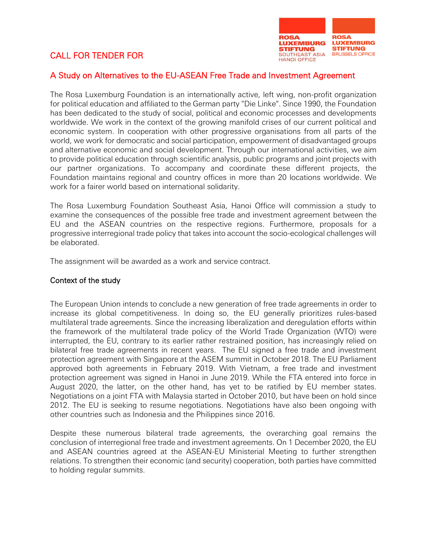# CALL FOR TENDER FOR



### A Study on Alternatives to the EU-ASEAN Free Trade and Investment Agreement

The Rosa Luxemburg Foundation is an internationally active, left wing, non-profit organization for political education and affiliated to the German party "Die Linke". Since 1990, the Foundation has been dedicated to the study of social, political and economic processes and developments worldwide. We work in the context of the growing manifold crises of our current political and economic system. In cooperation with other progressive organisations from all parts of the world, we work for democratic and social participation, empowerment of disadvantaged groups and alternative economic and social development. Through our international activities, we aim to provide political education through scientific analysis, public programs and joint projects with our partner organizations. To accompany and coordinate these different projects, the Foundation maintains regional and country offices in more than 20 locations worldwide. We work for a fairer world based on international solidarity.

The Rosa Luxemburg Foundation Southeast Asia, Hanoi Office will commission a study to examine the consequences of the possible free trade and investment agreement between the EU and the ASEAN countries on the respective regions. Furthermore, proposals for a progressive interregional trade policy that takes into account the socio-ecological challenges will be elaborated.

The assignment will be awarded as a work and service contract.

#### Context of the study

The European Union intends to conclude a new generation of free trade agreements in order to increase its global competitiveness. In doing so, the EU generally prioritizes rules-based multilateral trade agreements. Since the increasing liberalization and deregulation efforts within the framework of the multilateral trade policy of the World Trade Organization (WTO) were interrupted, the EU, contrary to its earlier rather restrained position, has increasingly relied on bilateral free trade agreements in recent years. The EU signed a free trade and investment protection agreement with Singapore at the ASEM summit in October 2018. The EU Parliament approved both agreements in February 2019. With Vietnam, a free trade and investment protection agreement was signed in Hanoi in June 2019. While the FTA entered into force in August 2020, the latter, on the other hand, has yet to be ratified by EU member states. Negotiations on a joint FTA with Malaysia started in October 2010, but have been on hold since 2012. The EU is seeking to resume negotiations. Negotiations have also been ongoing with other countries such as Indonesia and the Philippines since 2016.

Despite these numerous bilateral trade agreements, the overarching goal remains the conclusion of interregional free trade and investment agreements. On 1 December 2020, the EU and ASEAN countries agreed at the ASEAN-EU Ministerial Meeting to further strengthen relations. To strengthen their economic (and security) cooperation, both parties have committed to holding regular summits.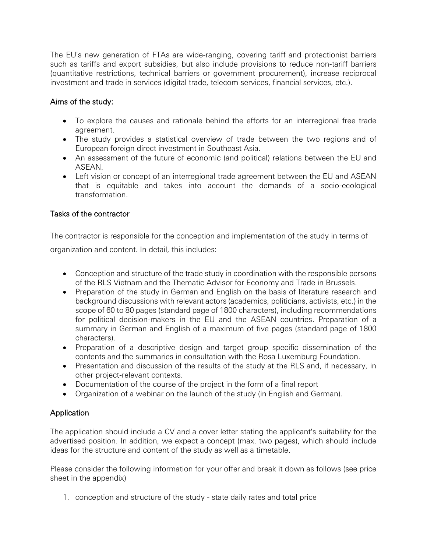The EU's new generation of FTAs are wide-ranging, covering tariff and protectionist barriers such as tariffs and export subsidies, but also include provisions to reduce non-tariff barriers (quantitative restrictions, technical barriers or government procurement), increase reciprocal investment and trade in services (digital trade, telecom services, financial services, etc.).

# Aims of the study:

- To explore the causes and rationale behind the efforts for an interregional free trade agreement.
- The study provides a statistical overview of trade between the two regions and of European foreign direct investment in Southeast Asia.
- An assessment of the future of economic (and political) relations between the EU and ASEAN.
- Left vision or concept of an interregional trade agreement between the EU and ASEAN that is equitable and takes into account the demands of a socio-ecological transformation.

# Tasks of the contractor

The contractor is responsible for the conception and implementation of the study in terms of organization and content. In detail, this includes:

- Conception and structure of the trade study in coordination with the responsible persons of the RLS Vietnam and the Thematic Advisor for Economy and Trade in Brussels.
- Preparation of the study in German and English on the basis of literature research and background discussions with relevant actors (academics, politicians, activists, etc.) in the scope of 60 to 80 pages (standard page of 1800 characters), including recommendations for political decision-makers in the EU and the ASEAN countries. Preparation of a summary in German and English of a maximum of five pages (standard page of 1800 characters).
- Preparation of a descriptive design and target group specific dissemination of the contents and the summaries in consultation with the Rosa Luxemburg Foundation.
- Presentation and discussion of the results of the study at the RLS and, if necessary, in other project-relevant contexts.
- Documentation of the course of the project in the form of a final report
- Organization of a webinar on the launch of the study (in English and German).

# **Application**

The application should include a CV and a cover letter stating the applicant's suitability for the advertised position. In addition, we expect a concept (max. two pages), which should include ideas for the structure and content of the study as well as a timetable.

Please consider the following information for your offer and break it down as follows (see price sheet in the appendix)

1. conception and structure of the study - state daily rates and total price